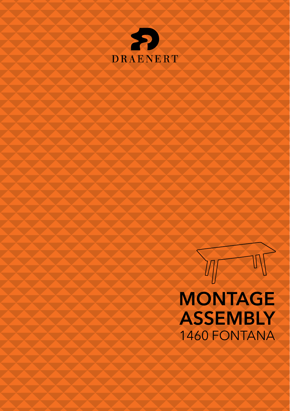



# **MONTAGE ASSEMBLY** 1460 FONTANA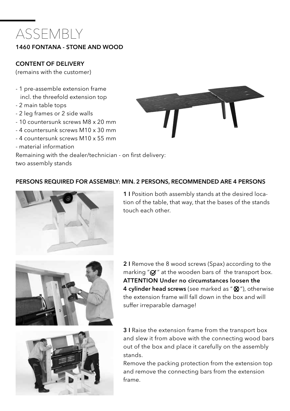## ASSEMBLY

#### 1460 FONTANA - STONE AND WOOD

#### CONTENT OF DELIVERY

(remains with the customer)

- 1 pre-assemble extension frame incl. the threefold extension top
- 2 main table tops
- 2 leg frames or 2 side walls
- 10 countersunk screws M8 x 20 mm
- 4 countersunk screws M10 x 30 mm
- 4 countersunk screws M10 x 55 mm
- material information

Remaining with the dealer/technician - on first delivery:

two assembly stands



#### PERSONS REQUIRED FOR ASSEMBLY: MIN. 2 PERSONS, RECOMMENDED ARE 4 PERSONS



1 I Position both assembly stands at the desired location of the table, that way, that the bases of the stands touch each other.



2 I Remove the 8 wood screws (Spax) according to the marking " $\alpha$ " at the wooden bars of the transport box. ATTENTION Under no circumstances loosen the 4 cylinder head screws (see marked as "  $\otimes$  "), otherwise the extension frame will fall down in the box and will suffer irreparable damage!



3 I Raise the extension frame from the transport box and slew it from above with the connecting wood bars out of the box and place it carefully on the assembly stands.

Remove the packing protection from the extension top and remove the connecting bars from the extension frame.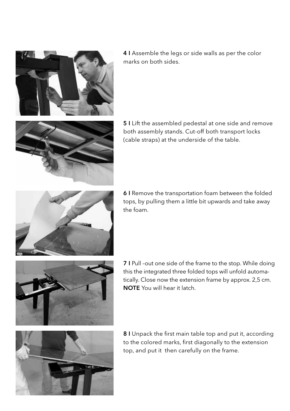

4 I Assemble the legs or side walls as per the color marks on both sides.



5 I Lift the assembled pedestal at one side and remove both assembly stands. Cut-off both transport locks (cable straps) at the underside of the table.



6 I Remove the transportation foam between the folded tops, by pulling them a little bit upwards and take away the foam.



7 I Pull –out one side of the frame to the stop. While doing this the integrated three folded tops will unfold automatically. Close now the extension frame by approx. 2,5 cm. NOTE You will hear it latch.



8 I Unpack the first main table top and put it, according to the colored marks, first diagonally to the extension top, and put it then carefully on the frame.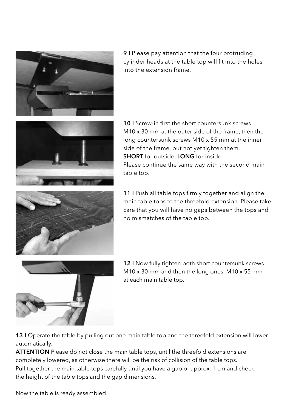

9 I Please pay attention that the four protruding cylinder heads at the table top will fit into the holes into the extension frame.



10 I Screw-in first the short countersunk screws M10 x 30 mm at the outer side of the frame, then the long countersunk screws M10 x 55 mm at the inner side of the frame, but not yet tighten them. SHORT for outside, LONG for inside Please continue the same way with the second main table top.



11 I Push all table tops firmly together and align the main table tops to the threefold extension. Please take care that you will have no gaps between the tops and no mismatches of the table top.



12 I Now fully tighten both short countersunk screws M10 x 30 mm and then the long ones M10 x 55 mm at each main table top.

13 I Operate the table by pulling out one main table top and the threefold extension will lower automatically.

ATTENTION Please do not close the main table tops, until the threefold extensions are completely lowered, as otherwise there will be the risk of collision of the table tops. Pull together the main table tops carefully until you have a gap of approx. 1 cm and check the height of the table tops and the gap dimensions.

Now the table is ready assembled.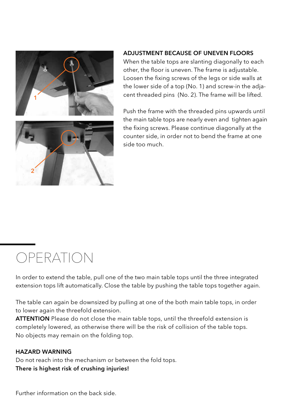

#### ADJUSTMENT BECAUSE OF UNEVEN FLOORS

When the table tops are slanting diagonally to each other, the floor is uneven. The frame is adjustable. Loosen the fixing screws of the legs or side walls at the lower side of a top (No. 1) and screw-in the adjacent threaded pins (No. 2). The frame will be lifted.

Push the frame with the threaded pins upwards until the main table tops are nearly even and tighten again the fixing screws. Please continue diagonally at the counter side, in order not to bend the frame at one side too much.

### OPERATION

In order to extend the table, pull one of the two main table tops until the three integrated extension tops lift automatically. Close the table by pushing the table tops together again.

The table can again be downsized by pulling at one of the both main table tops, in order to lower again the threefold extension.

ATTENTION Please do not close the main table tops, until the threefold extension is completely lowered, as otherwise there will be the risk of collision of the table tops. No objects may remain on the folding top.

#### HAZARD WARNING

Do not reach into the mechanism or between the fold tops. There is highest risk of crushing injuries!

Further information on the back side.